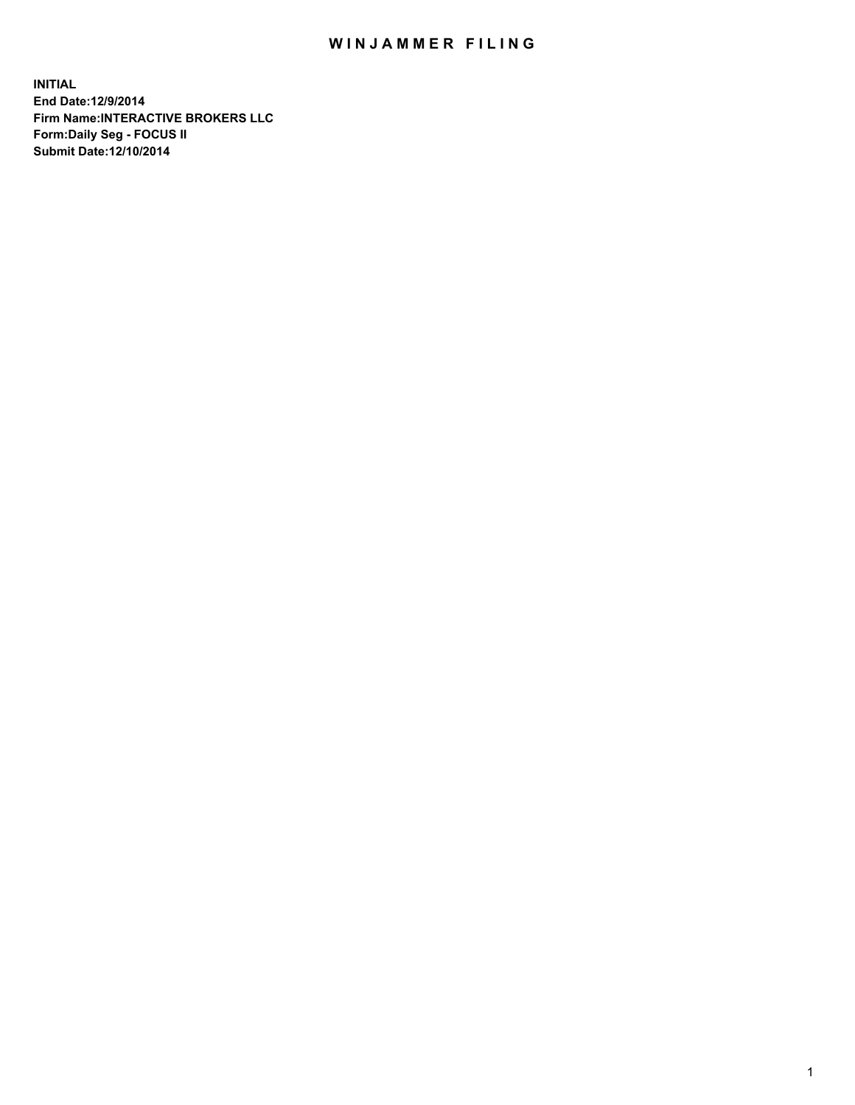## WIN JAMMER FILING

**INITIAL End Date:12/9/2014 Firm Name:INTERACTIVE BROKERS LLC Form:Daily Seg - FOCUS II Submit Date:12/10/2014**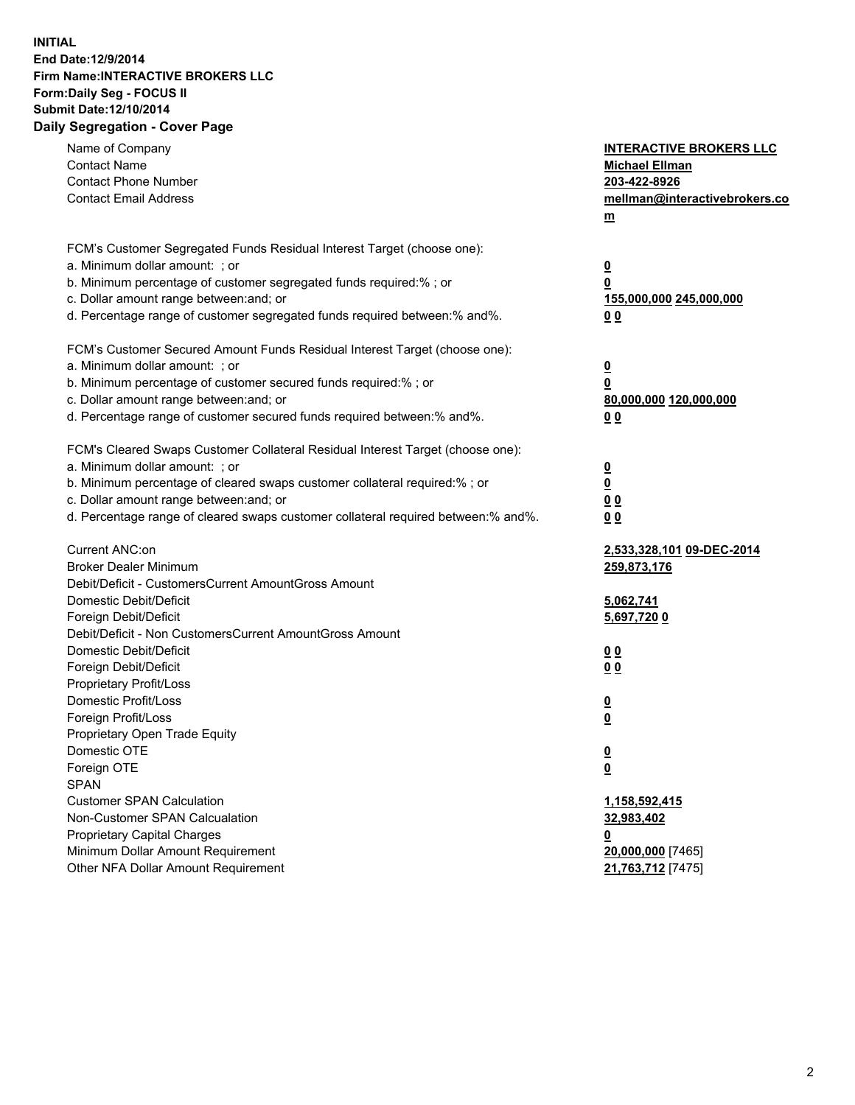## **INITIAL End Date:12/9/2014 Firm Name:INTERACTIVE BROKERS LLC Form:Daily Seg - FOCUS II Submit Date:12/10/2014 Daily Segregation - Cover Page**

| Name of Company<br><b>Contact Name</b><br><b>Contact Phone Number</b><br><b>Contact Email Address</b>                                                                                                                                                                                                                          | <b>INTERACTIVE BROKERS LLC</b><br><b>Michael Ellman</b><br>203-422-8926<br>mellman@interactivebrokers.co<br>$m$ |
|--------------------------------------------------------------------------------------------------------------------------------------------------------------------------------------------------------------------------------------------------------------------------------------------------------------------------------|-----------------------------------------------------------------------------------------------------------------|
| FCM's Customer Segregated Funds Residual Interest Target (choose one):<br>a. Minimum dollar amount: ; or<br>b. Minimum percentage of customer segregated funds required:% ; or<br>c. Dollar amount range between: and; or<br>d. Percentage range of customer segregated funds required between:% and%.                         | $\overline{\mathbf{0}}$<br>0<br>155,000,000 245,000,000<br>0 <sub>0</sub>                                       |
| FCM's Customer Secured Amount Funds Residual Interest Target (choose one):<br>a. Minimum dollar amount: ; or<br>b. Minimum percentage of customer secured funds required:% ; or<br>c. Dollar amount range between: and; or<br>d. Percentage range of customer secured funds required between:% and%.                           | $\overline{\mathbf{0}}$<br>0<br>80,000,000 120,000,000<br>0 <sub>0</sub>                                        |
| FCM's Cleared Swaps Customer Collateral Residual Interest Target (choose one):<br>a. Minimum dollar amount: ; or<br>b. Minimum percentage of cleared swaps customer collateral required:% ; or<br>c. Dollar amount range between: and; or<br>d. Percentage range of cleared swaps customer collateral required between:% and%. | $\overline{\mathbf{0}}$<br>$\underline{\mathbf{0}}$<br>0 <sub>0</sub><br>0 <sub>0</sub>                         |
| Current ANC:on<br><b>Broker Dealer Minimum</b><br>Debit/Deficit - CustomersCurrent AmountGross Amount<br>Domestic Debit/Deficit                                                                                                                                                                                                | 2,533,328,101 09-DEC-2014<br>259,873,176<br>5,062,741                                                           |
| Foreign Debit/Deficit<br>Debit/Deficit - Non CustomersCurrent AmountGross Amount<br>Domestic Debit/Deficit<br>Foreign Debit/Deficit<br>Proprietary Profit/Loss<br>Domestic Profit/Loss                                                                                                                                         | 5,697,7200<br>0 <sub>0</sub><br>0 <sub>0</sub><br>$\overline{\mathbf{0}}$                                       |
| Foreign Profit/Loss<br>Proprietary Open Trade Equity<br>Domestic OTE<br>Foreign OTE<br><b>SPAN</b><br><b>Customer SPAN Calculation</b>                                                                                                                                                                                         | $\overline{\mathbf{0}}$<br>$\underline{\mathbf{0}}$<br><u>0</u><br>1,158,592,415                                |
| Non-Customer SPAN Calcualation<br>Proprietary Capital Charges<br>Minimum Dollar Amount Requirement<br>Other NFA Dollar Amount Requirement                                                                                                                                                                                      | 32,983,402<br><u>0</u><br>20,000,000 [7465]<br>21,763,712 [7475]                                                |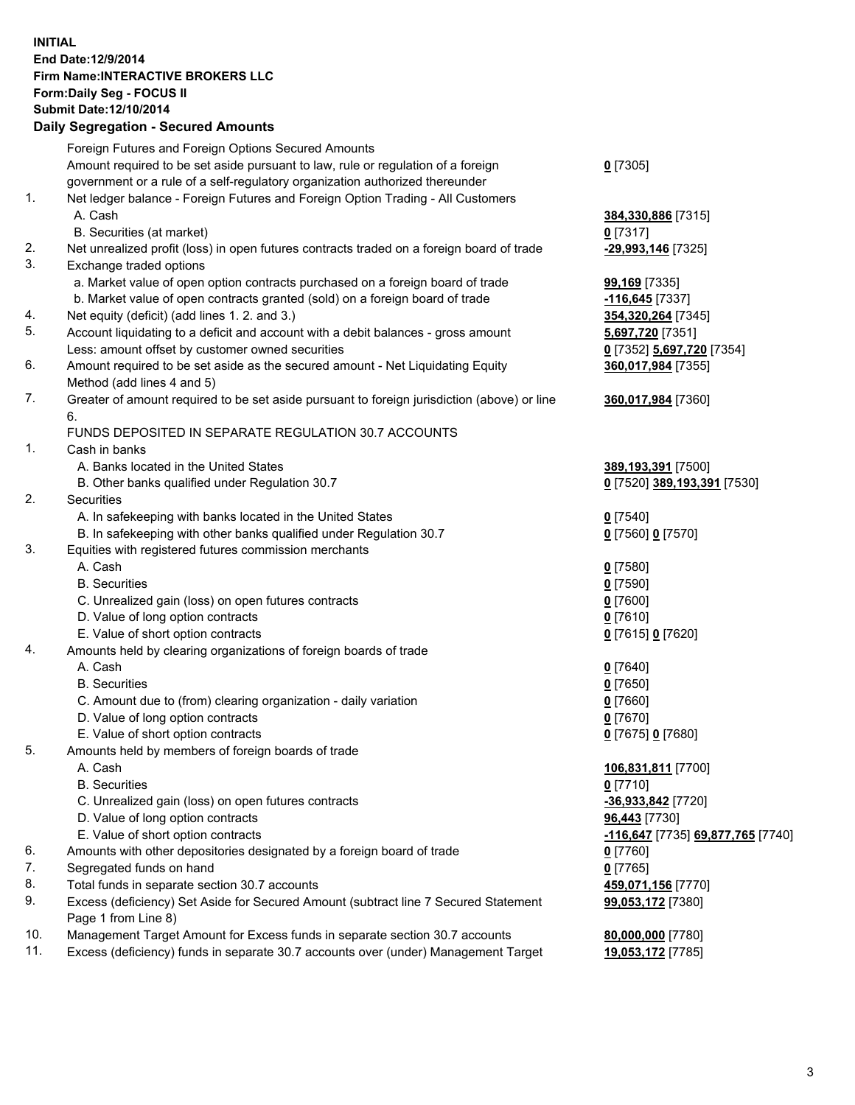## **INITIAL End Date:12/9/2014 Firm Name:INTERACTIVE BROKERS LLC Form:Daily Seg - FOCUS II Submit Date:12/10/2014 Daily Segregation - Secured Amounts**

|     | Daily Segregation - Secured Amounts                                                                          |                                   |
|-----|--------------------------------------------------------------------------------------------------------------|-----------------------------------|
|     | Foreign Futures and Foreign Options Secured Amounts                                                          |                                   |
|     | Amount required to be set aside pursuant to law, rule or regulation of a foreign                             | $0$ [7305]                        |
|     | government or a rule of a self-regulatory organization authorized thereunder                                 |                                   |
| 1.  | Net ledger balance - Foreign Futures and Foreign Option Trading - All Customers                              |                                   |
|     | A. Cash                                                                                                      | 384,330,886 [7315]                |
|     | B. Securities (at market)                                                                                    | $0$ [7317]                        |
| 2.  | Net unrealized profit (loss) in open futures contracts traded on a foreign board of trade                    | -29,993,146 [7325]                |
| 3.  | Exchange traded options                                                                                      |                                   |
|     | a. Market value of open option contracts purchased on a foreign board of trade                               | <b>99,169</b> [7335]              |
|     | b. Market value of open contracts granted (sold) on a foreign board of trade                                 | -116,645 <sup>[7337]</sup>        |
| 4.  | Net equity (deficit) (add lines 1.2. and 3.)                                                                 | 354,320,264 [7345]                |
| 5.  | Account liquidating to a deficit and account with a debit balances - gross amount                            | 5,697,720 [7351]                  |
|     |                                                                                                              |                                   |
| 6.  | Less: amount offset by customer owned securities                                                             | 0 [7352] 5,697,720 [7354]         |
|     | Amount required to be set aside as the secured amount - Net Liquidating Equity<br>Method (add lines 4 and 5) | 360,017,984 [7355]                |
| 7.  | Greater of amount required to be set aside pursuant to foreign jurisdiction (above) or line                  | 360,017,984 [7360]                |
|     | 6.                                                                                                           |                                   |
|     | FUNDS DEPOSITED IN SEPARATE REGULATION 30.7 ACCOUNTS                                                         |                                   |
| 1.  | Cash in banks                                                                                                |                                   |
|     | A. Banks located in the United States                                                                        | 389,193,391 [7500]                |
|     | B. Other banks qualified under Regulation 30.7                                                               | 0 [7520] 389,193,391 [7530]       |
| 2.  | Securities                                                                                                   |                                   |
|     | A. In safekeeping with banks located in the United States                                                    | $0$ [7540]                        |
|     | B. In safekeeping with other banks qualified under Regulation 30.7                                           | 0 [7560] 0 [7570]                 |
| 3.  | Equities with registered futures commission merchants                                                        |                                   |
|     | A. Cash                                                                                                      | $0$ [7580]                        |
|     | <b>B.</b> Securities                                                                                         | $0$ [7590]                        |
|     | C. Unrealized gain (loss) on open futures contracts                                                          | $0$ [7600]                        |
|     | D. Value of long option contracts                                                                            | $0$ [7610]                        |
|     | E. Value of short option contracts                                                                           | 0 [7615] 0 [7620]                 |
| 4.  | Amounts held by clearing organizations of foreign boards of trade                                            |                                   |
|     | A. Cash                                                                                                      | $0$ [7640]                        |
|     | <b>B.</b> Securities                                                                                         | $0$ [7650]                        |
|     | C. Amount due to (from) clearing organization - daily variation                                              | $0$ [7660]                        |
|     | D. Value of long option contracts                                                                            | $0$ [7670]                        |
|     | E. Value of short option contracts                                                                           | 0 [7675] 0 [7680]                 |
| 5.  | Amounts held by members of foreign boards of trade                                                           |                                   |
|     | A. Cash                                                                                                      | 106,831,811 [7700]                |
|     | <b>B.</b> Securities                                                                                         | $0$ [7710]                        |
|     | C. Unrealized gain (loss) on open futures contracts                                                          | -36,933,842 [7720]                |
|     | D. Value of long option contracts                                                                            | 96,443 [7730]                     |
|     | E. Value of short option contracts                                                                           | -116,647 [7735] 69,877,765 [7740] |
| 6.  | Amounts with other depositories designated by a foreign board of trade                                       |                                   |
| 7.  | Segregated funds on hand                                                                                     | 0 [7760]<br>$0$ [7765]            |
| 8.  | Total funds in separate section 30.7 accounts                                                                | 459,071,156 [7770]                |
| 9.  | Excess (deficiency) Set Aside for Secured Amount (subtract line 7 Secured Statement                          |                                   |
|     |                                                                                                              | 99,053,172 [7380]                 |
| 10. | Page 1 from Line 8)                                                                                          |                                   |
| 11. | Management Target Amount for Excess funds in separate section 30.7 accounts                                  | 80,000,000 [7780]                 |
|     | Excess (deficiency) funds in separate 30.7 accounts over (under) Management Target                           | 19,053,172 [7785]                 |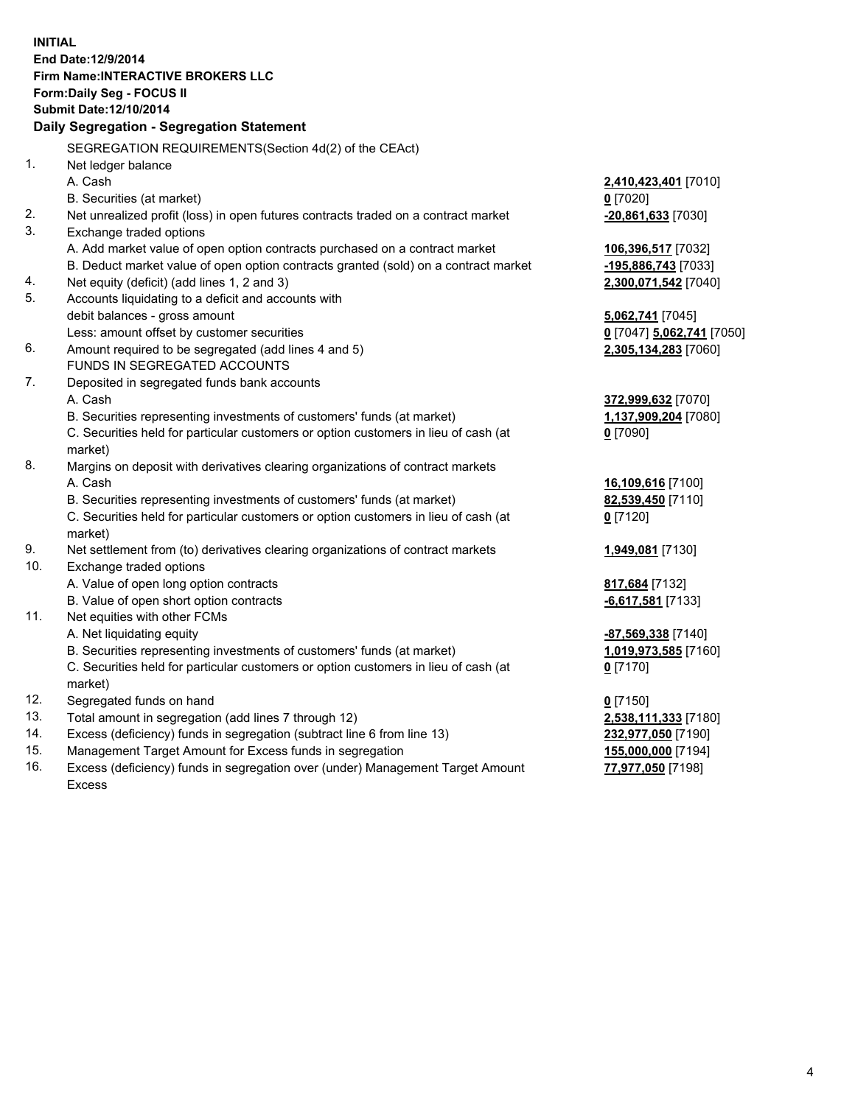**INITIAL End Date:12/9/2014 Firm Name:INTERACTIVE BROKERS LLC Form:Daily Seg - FOCUS II Submit Date:12/10/2014 Daily Segregation - Segregation Statement** SEGREGATION REQUIREMENTS(Section 4d(2) of the CEAct) 1. Net ledger balance A. Cash **2,410,423,401** [7010] B. Securities (at market) **0** [7020] 2. Net unrealized profit (loss) in open futures contracts traded on a contract market **-20,861,633** [7030] 3. Exchange traded options A. Add market value of open option contracts purchased on a contract market **106,396,517** [7032] B. Deduct market value of open option contracts granted (sold) on a contract market **-195,886,743** [7033] 4. Net equity (deficit) (add lines 1, 2 and 3) **2,300,071,542** [7040] 5. Accounts liquidating to a deficit and accounts with debit balances - gross amount **5,062,741** [7045] Less: amount offset by customer securities **0** [7047] **5,062,741** [7050] 6. Amount required to be segregated (add lines 4 and 5) **2,305,134,283** [7060] FUNDS IN SEGREGATED ACCOUNTS 7. Deposited in segregated funds bank accounts A. Cash **372,999,632** [7070] B. Securities representing investments of customers' funds (at market) **1,137,909,204** [7080] C. Securities held for particular customers or option customers in lieu of cash (at market) **0** [7090] 8. Margins on deposit with derivatives clearing organizations of contract markets A. Cash **16,109,616** [7100] B. Securities representing investments of customers' funds (at market) **82,539,450** [7110] C. Securities held for particular customers or option customers in lieu of cash (at market) **0** [7120] 9. Net settlement from (to) derivatives clearing organizations of contract markets **1,949,081** [7130] 10. Exchange traded options A. Value of open long option contracts **817,684** [7132] B. Value of open short option contracts **-6,617,581** [7133] 11. Net equities with other FCMs A. Net liquidating equity **-87,569,338** [7140] B. Securities representing investments of customers' funds (at market) **1,019,973,585** [7160] C. Securities held for particular customers or option customers in lieu of cash (at market) **0** [7170] 12. Segregated funds on hand **0** [7150] 13. Total amount in segregation (add lines 7 through 12) **2,538,111,333** [7180] 14. Excess (deficiency) funds in segregation (subtract line 6 from line 13) **232,977,050** [7190] 15. Management Target Amount for Excess funds in segregation **155,000,000** [7194]

16. Excess (deficiency) funds in segregation over (under) Management Target Amount Excess

**77,977,050** [7198]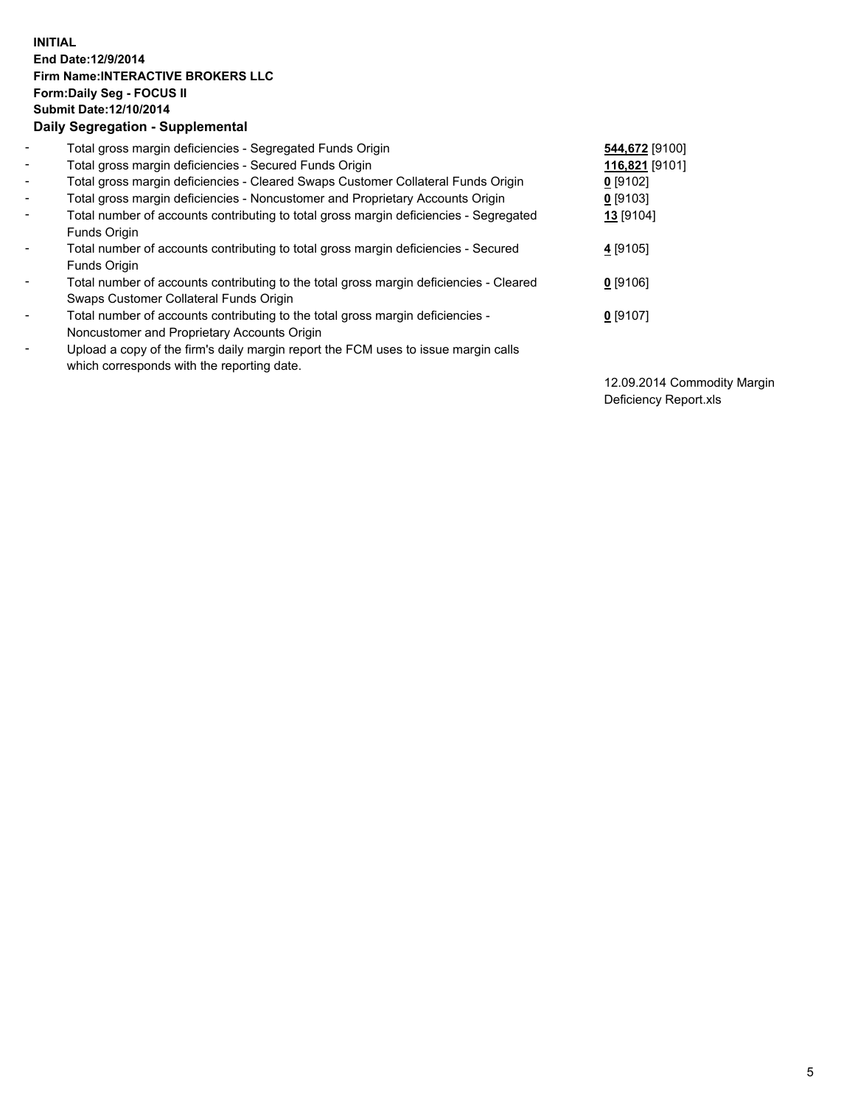## **INITIAL End Date:12/9/2014 Firm Name:INTERACTIVE BROKERS LLC Form:Daily Seg - FOCUS II Submit Date:12/10/2014 Daily Segregation - Supplemental**

| $\blacksquare$           | Total gross margin deficiencies - Segregated Funds Origin                              | 544,672 [9100] |
|--------------------------|----------------------------------------------------------------------------------------|----------------|
| $\sim$                   | Total gross margin deficiencies - Secured Funds Origin                                 | 116,821 [9101] |
| $\blacksquare$           | Total gross margin deficiencies - Cleared Swaps Customer Collateral Funds Origin       | $0$ [9102]     |
| $\blacksquare$           | Total gross margin deficiencies - Noncustomer and Proprietary Accounts Origin          | $0$ [9103]     |
| $\blacksquare$           | Total number of accounts contributing to total gross margin deficiencies - Segregated  | 13 [9104]      |
|                          | Funds Origin                                                                           |                |
| $\blacksquare$           | Total number of accounts contributing to total gross margin deficiencies - Secured     | 4 [9105]       |
|                          | Funds Origin                                                                           |                |
| $\blacksquare$           | Total number of accounts contributing to the total gross margin deficiencies - Cleared | $0$ [9106]     |
|                          | Swaps Customer Collateral Funds Origin                                                 |                |
| $\overline{\phantom{a}}$ | Total number of accounts contributing to the total gross margin deficiencies -         | $0$ [9107]     |
|                          | Noncustomer and Proprietary Accounts Origin                                            |                |
| $\overline{\phantom{a}}$ | Upload a copy of the firm's daily margin report the FCM uses to issue margin calls     |                |
|                          | which corresponds with the reporting date.                                             |                |

12.09.2014 Commodity Margin Deficiency Report.xls